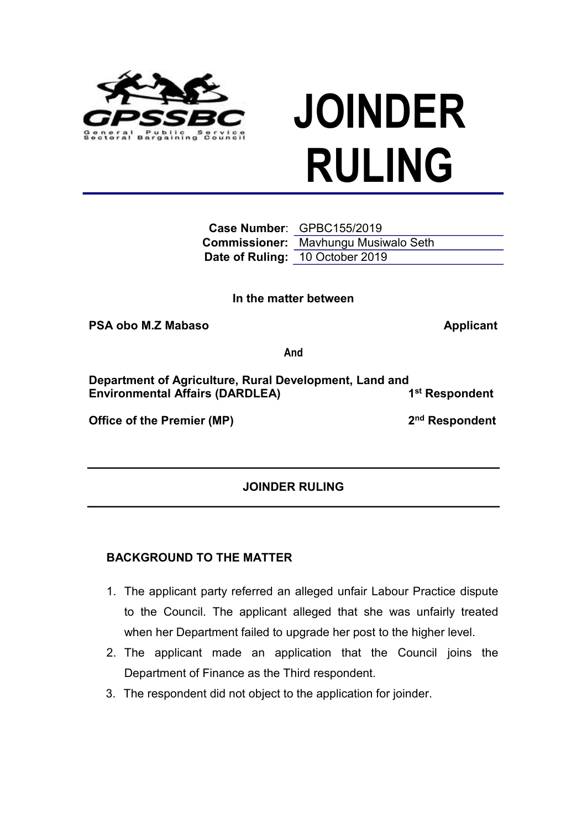

**In the matter between**

**PSA** obo M.Z Mabaso **Applicant** 

**And**

**Department of Agriculture, Rural Development, Land and Environmental Affairs (DARDLEA) 1 st Respondent**

**Office of the Premier (MP) 2**

2<sup>nd</sup> Respondent

**JOINDER RULING**

## **BACKGROUND TO THE MATTER**

- 1. The applicant party referred an alleged unfair Labour Practice dispute to the Council. The applicant alleged that she was unfairly treated when her Department failed to upgrade her post to the higher level.
- 2. The applicant made an application that the Council joins the Department of Finance as the Third respondent.
- 3. The respondent did not object to the application for joinder.



**JOINDER RULING**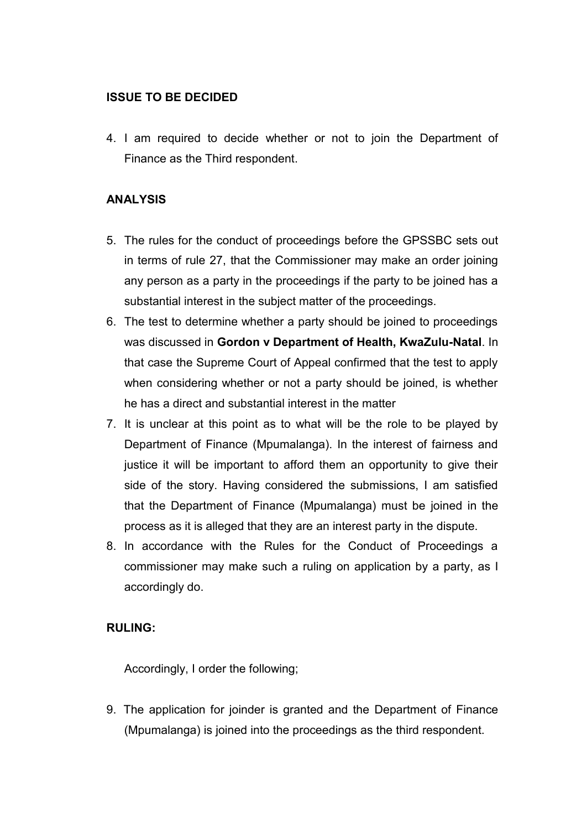## **ISSUE TO BE DECIDED**

4. I am required to decide whether or not to join the Department of Finance as the Third respondent.

## **ANALYSIS**

- 5. The rules for the conduct of proceedings before the GPSSBC sets out in terms of rule 27, that the Commissioner may make an order joining any person as a party in the proceedings if the party to be joined has a substantial interest in the subject matter of the proceedings.
- 6. The test to determine whether a party should be joined to proceedings was discussed in **Gordon v Department of Health, KwaZulu-Natal**. In that case the Supreme Court of Appeal confirmed that the test to apply when considering whether or not a party should be joined, is whether he has a direct and substantial interest in the matter
- 7. It is unclear at this point as to what will be the role to be played by Department of Finance (Mpumalanga). In the interest of fairness and justice it will be important to afford them an opportunity to give their side of the story. Having considered the submissions, I am satisfied that the Department of Finance (Mpumalanga) must be joined in the process as it is alleged that they are an interest party in the dispute.
- 8. In accordance with the Rules for the Conduct of Proceedings a commissioner may make such a ruling on application by a party, as I accordingly do.

## **RULING:**

Accordingly, I order the following;

9. The application for joinder is granted and the Department of Finance (Mpumalanga) is joined into the proceedings as the third respondent.